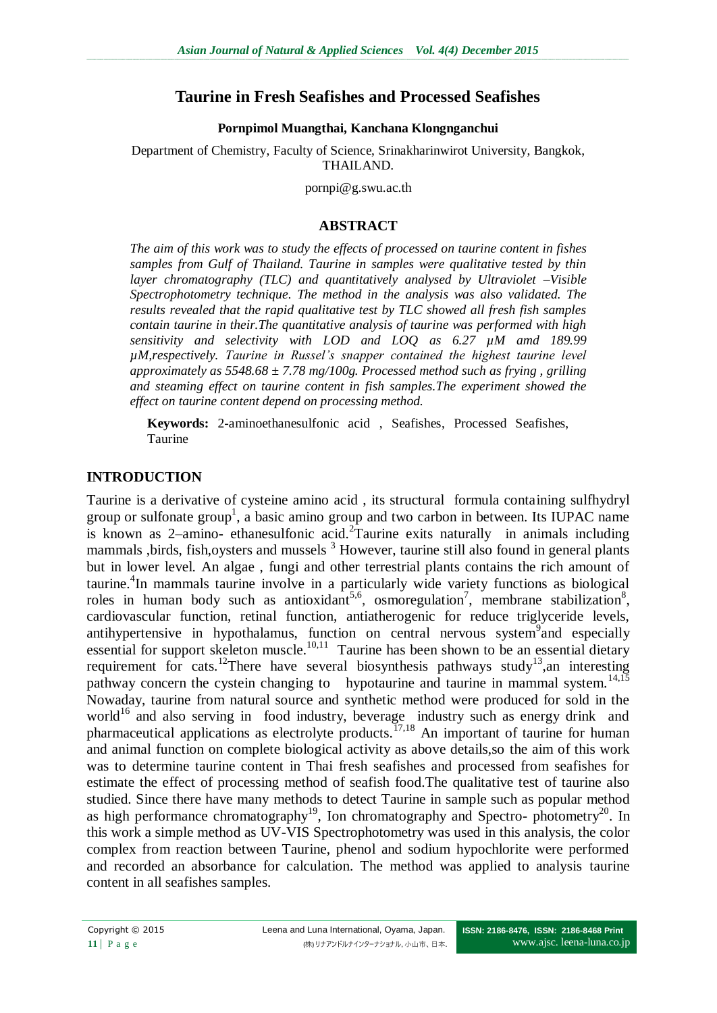# **Taurine in Fresh Seafishes and Processed Seafishes**

#### **Pornpimol Muangthai, Kanchana Klongnganchui**

Department of Chemistry, Faculty of Science, Srinakharinwirot University, Bangkok, THAILAND.

pornpi@g.swu.ac.th

### **ABSTRACT**

*The aim of this work was to study the effects of processed on taurine content in fishes samples from Gulf of Thailand. Taurine in samples were qualitative tested by thin layer chromatography (TLC) and quantitatively analysed by Ultraviolet –Visible Spectrophotometry technique*. *The method in the analysis was also validated. The results revealed that the rapid qualitative test by TLC showed all fresh fish samples contain taurine in their.The quantitative analysis of taurine was performed with high sensitivity and selectivity with LOD and LOQ as 6.27 µM amd 189.99 µM,respectively. Taurine in Russel's snapper contained the highest taurine level approximately as 5548.68 ± 7.78 mg/100g. Processed method such as frying , grilling and steaming effect on taurine content in fish samples.The experiment showed the effect on taurine content depend on processing method.*

**Keywords:** 2-aminoethanesulfonic acid , Seafishes, Processed Seafishes, Taurine

### **INTRODUCTION**

Taurine is a derivative of cysteine amino acid , its structural formula containing sulfhydryl group or sulfonate group<sup>1</sup>, a basic amino group and two carbon in between. Its IUPAC name is known as  $2$ -amino- ethanesulfonic acid. $2$ Taurine exits naturally in animals including mammals ,birds, fish,oysters and mussels  $3$  However, taurine still also found in general plants but in lower level. An algae , fungi and other terrestrial plants contains the rich amount of taurine.<sup>4</sup> In mammals taurine involve in a particularly wide variety functions as biological roles in human body such as antioxidant<sup>5,6</sup>, osmoregulation<sup>7</sup>, membrane stabilization<sup>8</sup>, cardiovascular function, retinal function, antiatherogenic for reduce triglyceride levels, antihypertensive in hypothalamus, function on central nervous system<sup>9</sup> and especially essential for support skeleton muscle.<sup>10,11</sup> Taurine has been shown to be an essential dietary requirement for cats.<sup>12</sup>There have several biosynthesis pathways study<sup>13</sup>, an interesting pathway concern the cystein changing to hypotaurine and taurine in mammal system.<sup>14,15</sup> Nowaday, taurine from natural source and synthetic method were produced for sold in the world<sup>16</sup> and also serving in food industry, beverage industry such as energy drink and pharmaceutical applications as electrolyte products.<sup>17,18</sup> An important of taurine for human and animal function on complete biological activity as above details,so the aim of this work was to determine taurine content in Thai fresh seafishes and processed from seafishes for estimate the effect of processing method of seafish food.The qualitative test of taurine also studied. Since there have many methods to detect Taurine in sample such as popular method as high performance chromatography<sup>19</sup>, Ion chromatography and Spectro- photometry<sup>20</sup>. In this work a simple method as UV-VIS Spectrophotometry was used in this analysis, the color complex from reaction between Taurine, phenol and sodium hypochlorite were performed and recorded an absorbance for calculation. The method was applied to analysis taurine content in all seafishes samples.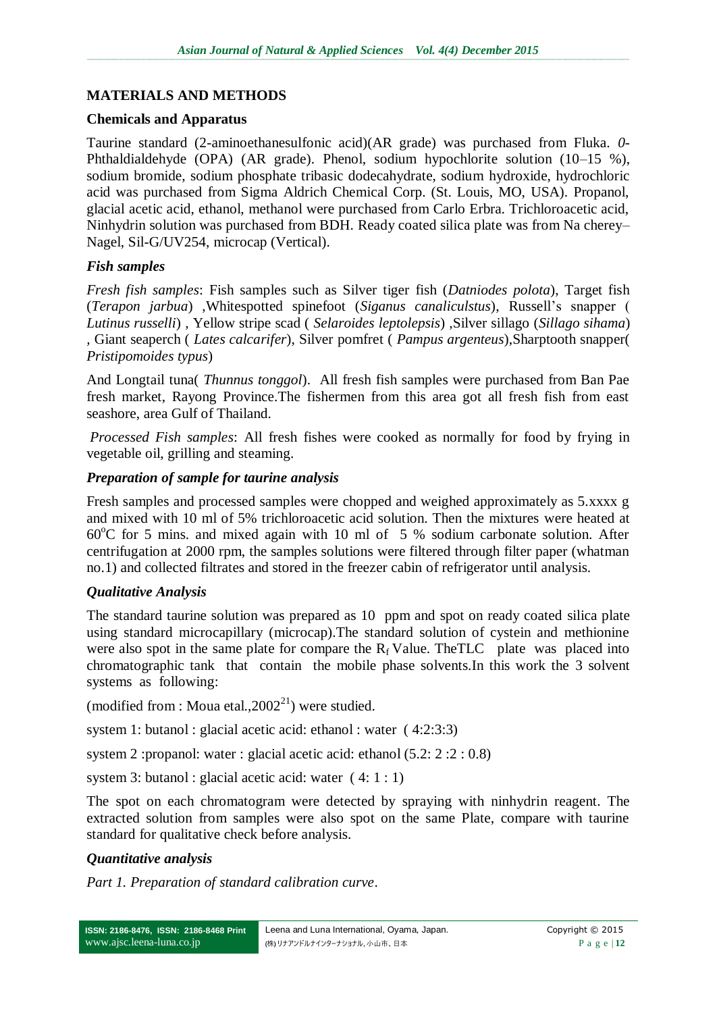### **MATERIALS AND METHODS**

#### **Chemicals and Apparatus**

Taurine standard (2-aminoethanesulfonic acid)(AR grade) was purchased from Fluka. *0*- Phthaldialdehyde (OPA) (AR grade). Phenol, sodium hypochlorite solution (10–15 %), sodium bromide, sodium phosphate tribasic dodecahydrate, sodium hydroxide, hydrochloric acid was purchased from Sigma Aldrich Chemical Corp. (St. Louis, MO, USA). Propanol, glacial acetic acid, ethanol, methanol were purchased from Carlo Erbra. Trichloroacetic acid, Ninhydrin solution was purchased from BDH. Ready coated silica plate was from Na cherey– Nagel, Sil-G/UV254, microcap (Vertical).

### *Fish samples*

*Fresh fish samples*: Fish samples such as Silver tiger fish (*Datniodes polota*), Target fish (*Terapon jarbua*) ,Whitespotted spinefoot (*Siganus canaliculstus*), Russell's snapper ( *Lutinus russelli*) *,* Yellow stripe scad ( *Selaroides leptolepsis*) *,*Silver sillago (*Sillago sihama*) *,* Giant seaperch ( *Lates calcarifer*), Silver pomfret ( *Pampus argenteus*),Sharptooth snapper( *Pristipomoides typus*)

And Longtail tuna( *Thunnus tonggol*). All fresh fish samples were purchased from Ban Pae fresh market, Rayong Province.The fishermen from this area got all fresh fish from east seashore, area Gulf of Thailand.

*Processed Fish samples*: All fresh fishes were cooked as normally for food by frying in vegetable oil, grilling and steaming.

#### *Preparation of sample for taurine analysis*

Fresh samples and processed samples were chopped and weighed approximately as 5.xxxx g and mixed with 10 ml of 5% trichloroacetic acid solution. Then the mixtures were heated at  $60^{\circ}$ C for 5 mins. and mixed again with 10 ml of 5 % sodium carbonate solution. After centrifugation at 2000 rpm, the samples solutions were filtered through filter paper (whatman no.1) and collected filtrates and stored in the freezer cabin of refrigerator until analysis.

### *Qualitative Analysis*

The standard taurine solution was prepared as 10 ppm and spot on ready coated silica plate using standard microcapillary (microcap).The standard solution of cystein and methionine were also spot in the same plate for compare the  $R_f$  Value. The TLC plate was placed into chromatographic tank that contain the mobile phase solvents.In this work the 3 solvent systems as following:

(modified from : Moua etal.,  $2002^{21}$ ) were studied.

system 1: butanol : glacial acetic acid: ethanol : water (4:2:3:3)

system 2 :propanol: water : glacial acetic acid: ethanol (5.2: 2 : 2 : 0.8)

system 3: butanol : glacial acetic acid: water  $(4:1:1)$ 

The spot on each chromatogram were detected by spraying with ninhydrin reagent. The extracted solution from samples were also spot on the same Plate, compare with taurine standard for qualitative check before analysis.

### *Quantitative analysis*

*Part 1. Preparation of standard calibration curve*.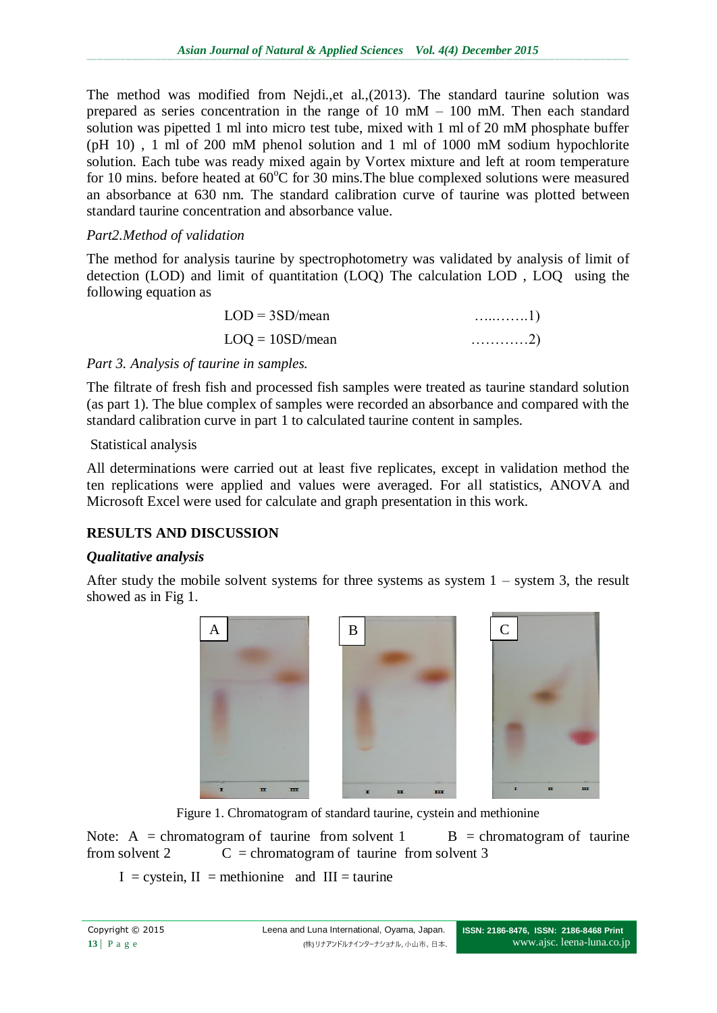The method was modified from Nejdi.,et al.,(2013). The standard taurine solution was prepared as series concentration in the range of 10 mM – 100 mM. Then each standard solution was pipetted 1 ml into micro test tube, mixed with 1 ml of 20 mM phosphate buffer (pH 10) , 1 ml of 200 mM phenol solution and 1 ml of 1000 mM sodium hypochlorite solution. Each tube was ready mixed again by Vortex mixture and left at room temperature for 10 mins. before heated at  $60^{\circ}$ C for 30 mins. The blue complexed solutions were measured an absorbance at 630 nm. The standard calibration curve of taurine was plotted between standard taurine concentration and absorbance value.

## *Part2.Method of validation*

The method for analysis taurine by spectrophotometry was validated by analysis of limit of detection (LOD) and limit of quantitation (LOQ) The calculation LOD , LOQ using the following equation as

| $LOD = 3SD/mean$<br>$\ldots \ldots \ldots \ldots 1)$           |  |
|----------------------------------------------------------------|--|
| $LOQ = 10SD/mean$<br>$\ldots \ldots \ldots \ldots \ldots$ . 2) |  |

## *Part 3. Analysis of taurine in samples.*

The filtrate of fresh fish and processed fish samples were treated as taurine standard solution (as part 1). The blue complex of samples were recorded an absorbance and compared with the standard calibration curve in part 1 to calculated taurine content in samples.

## Statistical analysis

All determinations were carried out at least five replicates, except in validation method the ten replications were applied and values were averaged. For all statistics, ANOVA and Microsoft Excel were used for calculate and graph presentation in this work.

# **RESULTS AND DISCUSSION**

## *Qualitative analysis*

After study the mobile solvent systems for three systems as system  $1 -$  system 3, the result showed as in Fig 1.



Figure 1. Chromatogram of standard taurine, cystein and methionine

Note: A = chromatogram of taurine from solvent 1 B = chromatogram of taurine from solvent 2  $C =$  chromatogram of taurine from solvent 3

 $I = c$ ystein,  $II =$  methionine and  $III =$  taurine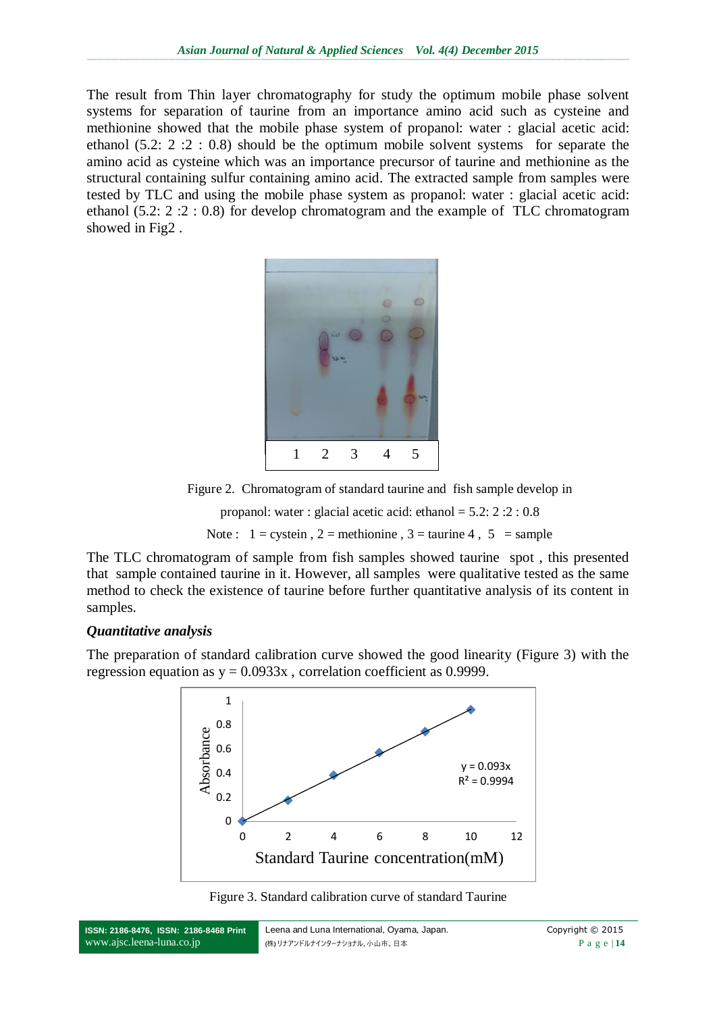The result from Thin layer chromatography for study the optimum mobile phase solvent systems for separation of taurine from an importance amino acid such as cysteine and methionine showed that the mobile phase system of propanol: water : glacial acetic acid: ethanol (5.2: 2 :2 : 0.8) should be the optimum mobile solvent systems for separate the amino acid as cysteine which was an importance precursor of taurine and methionine as the structural containing sulfur containing amino acid. The extracted sample from samples were tested by TLC and using the mobile phase system as propanol: water : glacial acetic acid: ethanol (5.2: 2 :2 : 0.8) for develop chromatogram and the example of TLC chromatogram showed in Fig2 .



Figure 2. Chromatogram of standard taurine and fish sample develop in

propanol: water : glacial acetic acid: ethanol =  $5.2: 2: 2: 0.8$ 

Note :  $1 = \text{c}$  = cystein,  $2 = \text{methionine}$ ,  $3 = \text{taurine } 4$ ,  $5 = \text{sample}$ 

The TLC chromatogram of sample from fish samples showed taurine spot , this presented that sample contained taurine in it. However, all samples were qualitative tested as the same method to check the existence of taurine before further quantitative analysis of its content in samples.

### *Quantitative analysis*

The preparation of standard calibration curve showed the good linearity (Figure 3) with the regression equation as  $y = 0.0933x$ , correlation coefficient as 0.9999.



Figure 3. Standard calibration curve of standard Taurine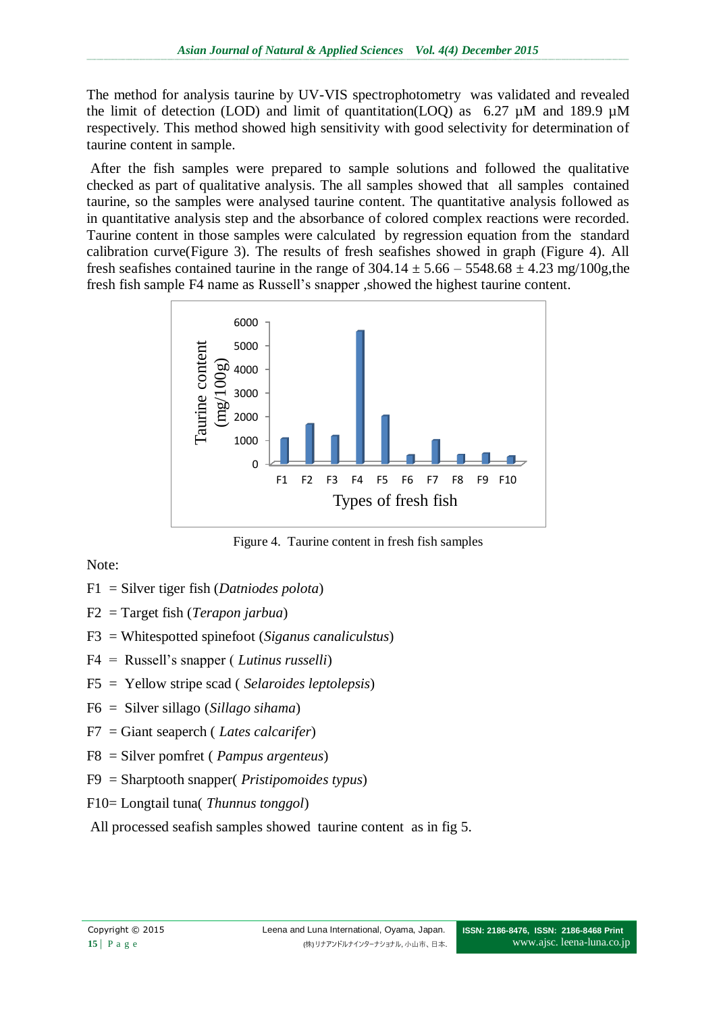The method for analysis taurine by UV-VIS spectrophotometry was validated and revealed the limit of detection (LOD) and limit of quantitation(LOQ) as  $6.27 \mu M$  and 189.9  $\mu M$ respectively. This method showed high sensitivity with good selectivity for determination of taurine content in sample.

After the fish samples were prepared to sample solutions and followed the qualitative checked as part of qualitative analysis. The all samples showed that all samples contained taurine, so the samples were analysed taurine content. The quantitative analysis followed as in quantitative analysis step and the absorbance of colored complex reactions were recorded. Taurine content in those samples were calculated by regression equation from the standard calibration curve(Figure 3). The results of fresh seafishes showed in graph (Figure 4). All fresh seafishes contained taurine in the range of  $304.14 \pm 5.66 - 5548.68 \pm 4.23$  mg/100g,the fresh fish sample F4 name as Russell's snapper ,showed the highest taurine content.



Figure 4. Taurine content in fresh fish samples

Note:

- F1 = Silver tiger fish (*Datniodes polota*)
- F2 = Target fish (*Terapon jarbua*)
- F3 = Whitespotted spinefoot (*Siganus canaliculstus*)
- F4 = Russell's snapper ( *Lutinus russelli*)
- F5 = Yellow stripe scad ( *Selaroides leptolepsis*)
- F6 = Silver sillago (*Sillago sihama*)
- F7 = Giant seaperch ( *Lates calcarifer*)
- F8 = Silver pomfret ( *Pampus argenteus*)
- F9 = Sharptooth snapper( *Pristipomoides typus*)
- F10= Longtail tuna( *Thunnus tonggol*)

All processed seafish samples showed taurine content as in fig 5.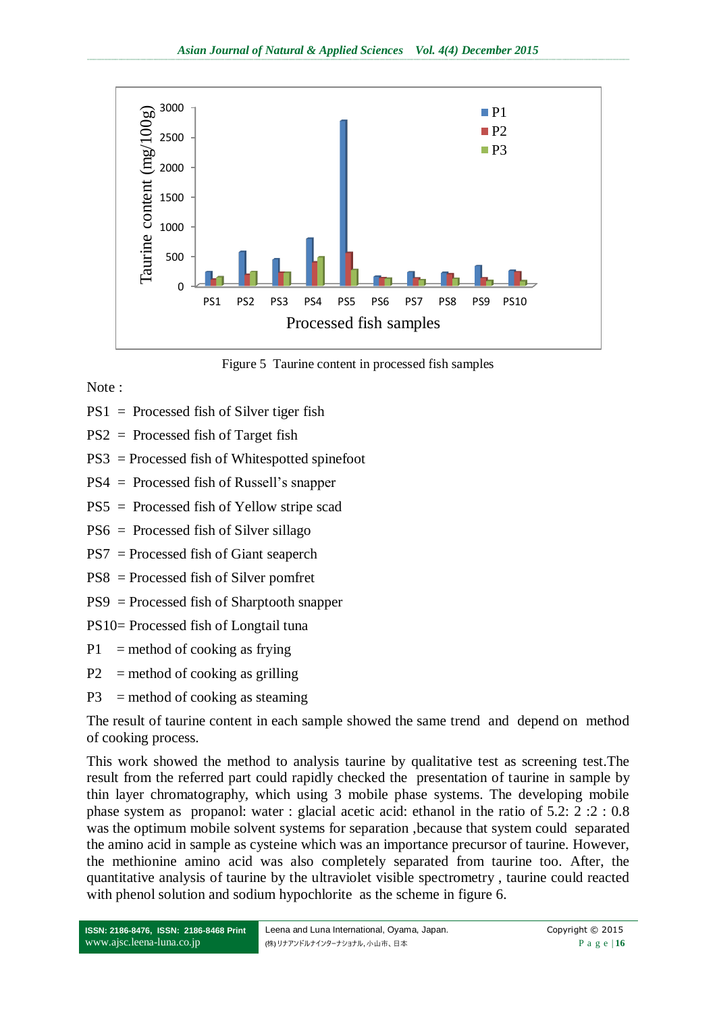

Figure 5 Taurine content in processed fish samples

Note :

- PS1 = Processed fish of Silver tiger fish
- PS2 = Processed fish of Target fish
- PS3 = Processed fish of Whitespotted spinefoot
- PS4 = Processed fish of Russell's snapper
- PS5 = Processed fish of Yellow stripe scad
- PS6 = Processed fish of Silver sillago
- PS7 = Processed fish of Giant seaperch
- PS8 = Processed fish of Silver pomfret
- PS9 = Processed fish of Sharptooth snapper
- PS10= Processed fish of Longtail tuna
- $P1$  = method of cooking as frying
- $P2 =$  method of cooking as grilling
- $P3$  = method of cooking as steaming

The result of taurine content in each sample showed the same trend and depend on method of cooking process.

This work showed the method to analysis taurine by qualitative test as screening test.The result from the referred part could rapidly checked the presentation of taurine in sample by thin layer chromatography, which using 3 mobile phase systems. The developing mobile phase system as propanol: water : glacial acetic acid: ethanol in the ratio of 5.2: 2 :2 : 0.8 was the optimum mobile solvent systems for separation ,because that system could separated the amino acid in sample as cysteine which was an importance precursor of taurine. However, the methionine amino acid was also completely separated from taurine too. After, the quantitative analysis of taurine by the ultraviolet visible spectrometry , taurine could reacted with phenol solution and sodium hypochlorite as the scheme in figure 6.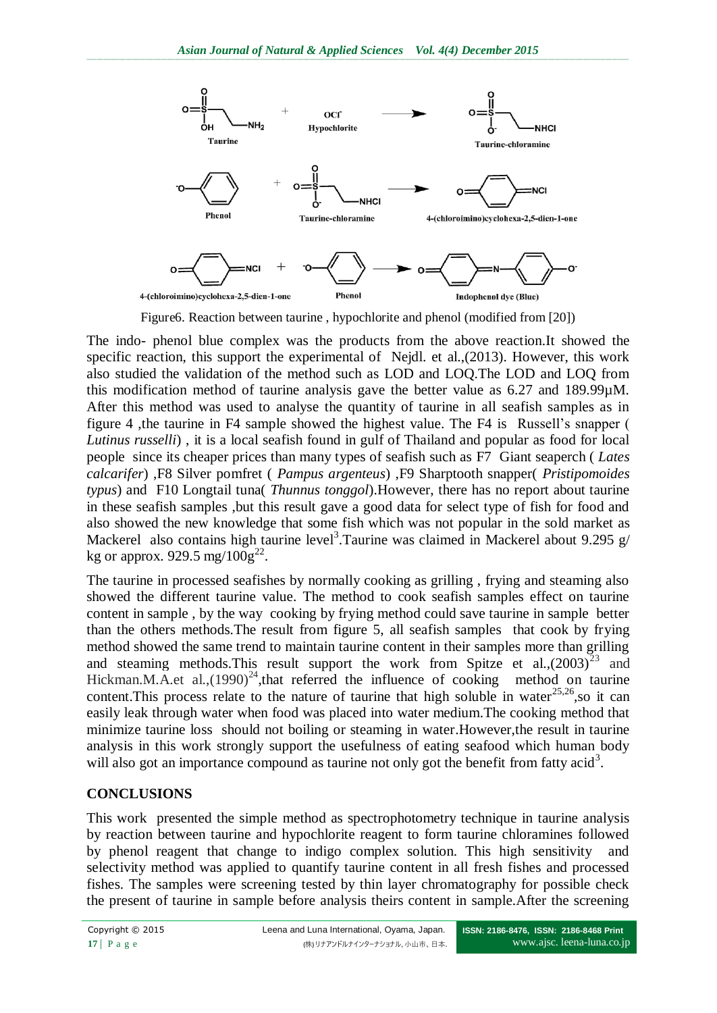

Figure6. Reaction between taurine , hypochlorite and phenol (modified from [20])

The indo- phenol blue complex was the products from the above reaction.It showed the specific reaction, this support the experimental of Nejdl. et al.,(2013). However, this work also studied the validation of the method such as LOD and LOQ.The LOD and LOQ from this modification method of taurine analysis gave the better value as 6.27 and 189.99µM. After this method was used to analyse the quantity of taurine in all seafish samples as in figure 4 ,the taurine in F4 sample showed the highest value. The F4 is Russell's snapper ( *Lutinus russelli*) , it is a local seafish found in gulf of Thailand and popular as food for local people since its cheaper prices than many types of seafish such as F7 Giant seaperch ( *Lates calcarifer*) ,F8 Silver pomfret ( *Pampus argenteus*) ,F9 Sharptooth snapper( *Pristipomoides typus*) and F10 Longtail tuna( *Thunnus tonggol*).However, there has no report about taurine in these seafish samples ,but this result gave a good data for select type of fish for food and also showed the new knowledge that some fish which was not popular in the sold market as Mackerel also contains high taurine level<sup>3</sup>. Taurine was claimed in Mackerel about 9.295 g/ kg or approx. 929.5 mg/ $100g^{22}$ .

The taurine in processed seafishes by normally cooking as grilling , frying and steaming also showed the different taurine value. The method to cook seafish samples effect on taurine content in sample , by the way cooking by frying method could save taurine in sample better than the others methods.The result from figure 5, all seafish samples that cook by frying method showed the same trend to maintain taurine content in their samples more than grilling and steaming methods. This result support the work from Spitze et al., $(2003)^{23}$  and Hickman.M.A.et al., $(1990)^{24}$ , that referred the influence of cooking method on taurine content. This process relate to the nature of taurine that high soluble in water $^{25,26}$ , so it can easily leak through water when food was placed into water medium.The cooking method that minimize taurine loss should not boiling or steaming in water.However,the result in taurine analysis in this work strongly support the usefulness of eating seafood which human body will also got an importance compound as taurine not only got the benefit from fatty acid<sup>3</sup>.

## **CONCLUSIONS**

This work presented the simple method as spectrophotometry technique in taurine analysis by reaction between taurine and hypochlorite reagent to form taurine chloramines followed by phenol reagent that change to indigo complex solution. This high sensitivity and selectivity method was applied to quantify taurine content in all fresh fishes and processed fishes. The samples were screening tested by thin layer chromatography for possible check the present of taurine in sample before analysis theirs content in sample.After the screening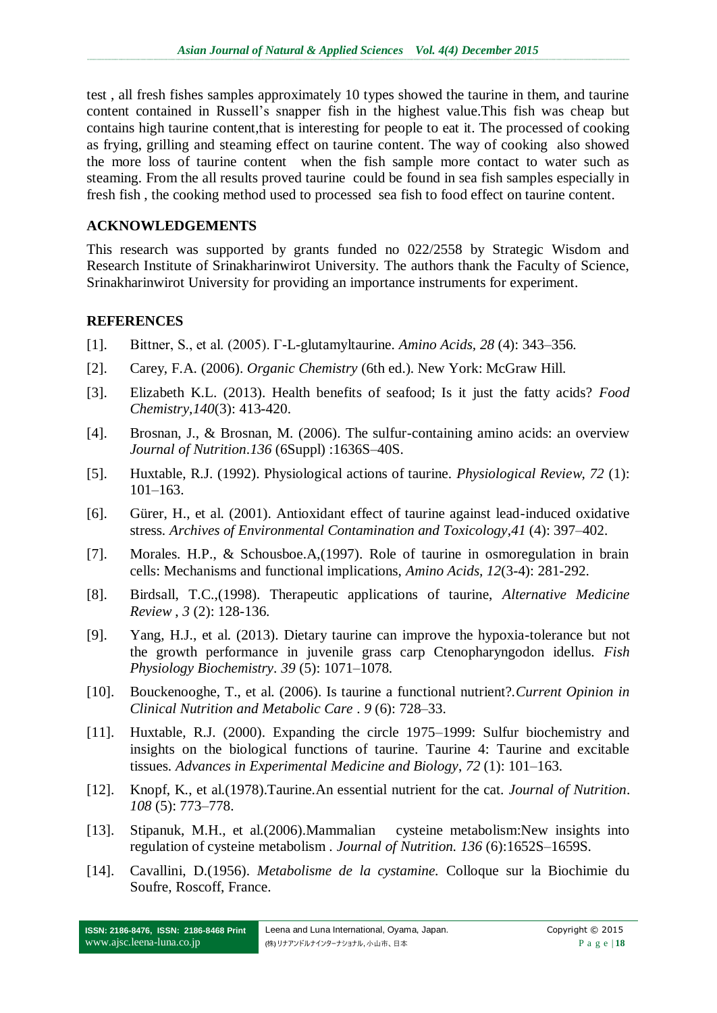test , all fresh fishes samples approximately 10 types showed the taurine in them, and taurine content contained in Russell's snapper fish in the highest value.This fish was cheap but contains high taurine content,that is interesting for people to eat it. The processed of cooking as frying, grilling and steaming effect on taurine content. The way of cooking also showed the more loss of taurine content when the fish sample more contact to water such as steaming. From the all results proved taurine could be found in sea fish samples especially in fresh fish , the cooking method used to processed sea fish to food effect on taurine content.

### **ACKNOWLEDGEMENTS**

This research was supported by grants funded no 022/2558 by Strategic Wisdom and Research Institute of Srinakharinwirot University. The authors thank the Faculty of Science, Srinakharinwirot University for providing an importance instruments for experiment.

### **REFERENCES**

- [1]. Bittner, S., et al. (2005). Γ-L-glutamyltaurine. *Amino Acids, 28* (4): 343–356.
- [2]. Carey, F.A. (2006). *Organic Chemistry* (6th ed.). New York: McGraw Hill.
- [3]. Elizabeth K.L. (2013). Health benefits of seafood; Is it just the fatty acids? *Food Chemistry,140*(3): 413-420.
- [4]. Brosnan, J., & Brosnan, M. (2006). The sulfur-containing amino acids: an overview *Journal of Nutrition*.*136* (6Suppl) :1636S–40S.
- [5]. Huxtable, R.J. (1992). Physiological actions of taurine. *Physiological Review, 72* (1): 101–163.
- [6]. Gürer, H., et al. (2001). Antioxidant effect of taurine against lead-induced oxidative stress. *Archives of Environmental Contamination and Toxicology*,*41* (4): 397–402.
- [7]. Morales. H.P., & Schousboe.A,(1997). Role of taurine in osmoregulation in brain cells: Mechanisms and functional implications, *Amino Acids, 12*(3-4): 281-292.
- [8]. Birdsall, T.C.,(1998). Therapeutic applications of taurine, *Alternative Medicine Review* , *3* (2): 128-136.
- [9]. Yang, H.J., et al. (2013). Dietary taurine can improve the hypoxia-tolerance but not the growth performance in juvenile grass carp Ctenopharyngodon idellus. *Fish Physiology Biochemistry*. *39* (5): 1071–1078.
- [10]. Bouckenooghe, T., et al. (2006). Is taurine a functional nutrient?.*Current Opinion in Clinical Nutrition and Metabolic Care* . *9* (6): 728–33.
- [11]. Huxtable, R.J. (2000). Expanding the circle 1975–1999: Sulfur biochemistry and insights on the biological functions of taurine. Taurine 4: Taurine and excitable tissues. *Advances in Experimental Medicine and Biology*, *72* (1): 101–163.
- [12]. Knopf, K., et al.(1978).Taurine.An essential nutrient for the cat. *Journal of Nutrition*. *108* (5): 773–778.
- [13]. Stipanuk, M.H., et al.(2006).Mammalian cysteine metabolism:New insights into regulation of cysteine metabolism . *Journal of Nutrition. 136* (6):1652S–1659S.
- [14]. Cavallini, D.(1956). *Metabolisme de la cystamine.* Colloque sur la Biochimie du Soufre, Roscoff, France.